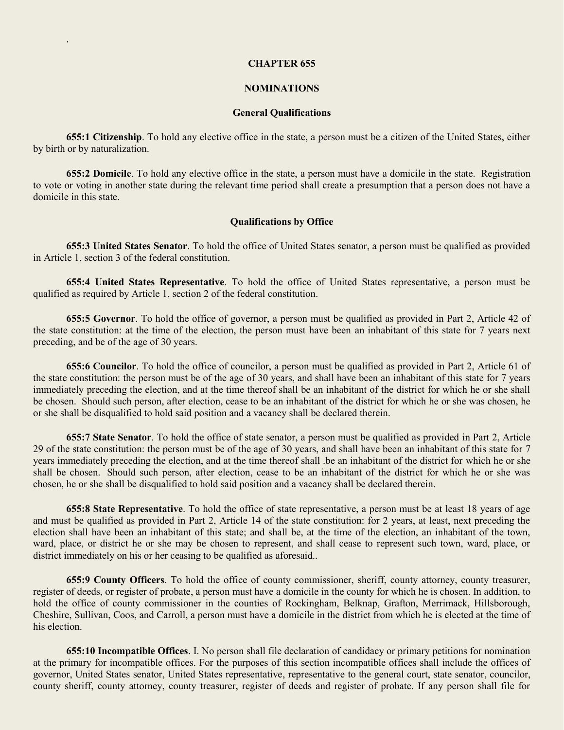#### **CHAPTER 655**

.

### **NOMINATIONS**

# **General Qualifications**

**655:1 Citizenship**. To hold any elective office in the state, a person must be a citizen of the United States, either by birth or by naturalization.

**655:2 Domicile**. To hold any elective office in the state, a person must have a domicile in the state. Registration to vote or voting in another state during the relevant time period shall create a presumption that a person does not have a domicile in this state.

### **Qualifications by Office**

**655:3 United States Senator**. To hold the office of United States senator, a person must be qualified as provided in Article 1, section 3 of the federal constitution.

**655:4 United States Representative**. To hold the office of United States representative, a person must be qualified as required by Article 1, section 2 of the federal constitution.

**655:5 Governor**. To hold the office of governor, a person must be qualified as provided in Part 2, Article 42 of the state constitution: at the time of the election, the person must have been an inhabitant of this state for 7 years next preceding, and be of the age of 30 years.

**655:6 Councilor**. To hold the office of councilor, a person must be qualified as provided in Part 2, Article 61 of the state constitution: the person must be of the age of 30 years, and shall have been an inhabitant of this state for 7 years immediately preceding the election, and at the time thereof shall be an inhabitant of the district for which he or she shall be chosen. Should such person, after election, cease to be an inhabitant of the district for which he or she was chosen, he or she shall be disqualified to hold said position and a vacancy shall be declared therein.

**655:7 State Senator**. To hold the office of state senator, a person must be qualified as provided in Part 2, Article 29 of the state constitution: the person must be of the age of 30 years, and shall have been an inhabitant of this state for 7 years immediately preceding the election, and at the time thereof shall .be an inhabitant of the district for which he or she shall be chosen. Should such person, after election, cease to be an inhabitant of the district for which he or she was chosen, he or she shall be disqualified to hold said position and a vacancy shall be declared therein.

**655:8 State Representative**. To hold the office of state representative, a person must be at least 18 years of age and must be qualified as provided in Part 2, Article 14 of the state constitution: for 2 years, at least, next preceding the election shall have been an inhabitant of this state; and shall be, at the time of the election, an inhabitant of the town, ward, place, or district he or she may be chosen to represent, and shall cease to represent such town, ward, place, or district immediately on his or her ceasing to be qualified as aforesaid..

**655:9 County Officers**. To hold the office of county commissioner, sheriff, county attorney, county treasurer, register of deeds, or register of probate, a person must have a domicile in the county for which he is chosen. In addition, to hold the office of county commissioner in the counties of Rockingham, Belknap, Grafton, Merrimack, Hillsborough, Cheshire, Sullivan, Coos, and Carroll, a person must have a domicile in the district from which he is elected at the time of his election.

**655:10 Incompatible Offices**. I. No person shall file declaration of candidacy or primary petitions for nomination at the primary for incompatible offices. For the purposes of this section incompatible offices shall include the offices of governor, United States senator, United States representative, representative to the general court, state senator, councilor, county sheriff, county attorney, county treasurer, register of deeds and register of probate. If any person shall file for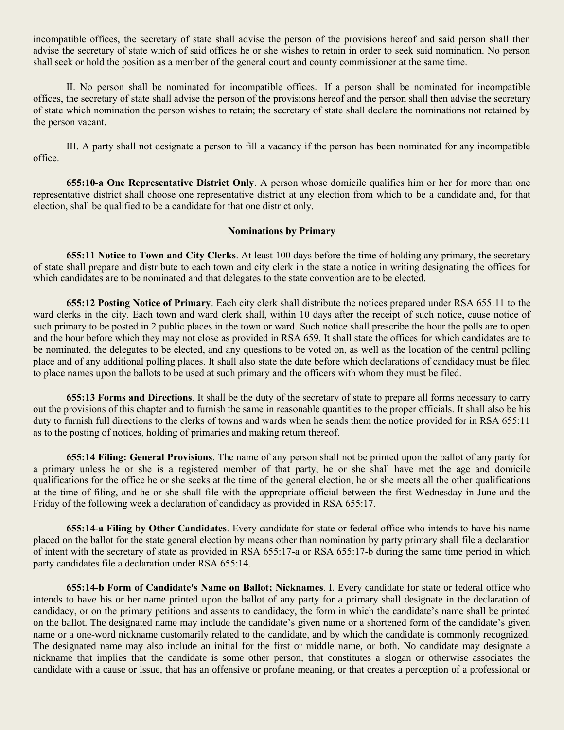incompatible offices, the secretary of state shall advise the person of the provisions hereof and said person shall then advise the secretary of state which of said offices he or she wishes to retain in order to seek said nomination. No person shall seek or hold the position as a member of the general court and county commissioner at the same time.

II. No person shall be nominated for incompatible offices. If a person shall be nominated for incompatible offices, the secretary of state shall advise the person of the provisions hereof and the person shall then advise the secretary of state which nomination the person wishes to retain; the secretary of state shall declare the nominations not retained by the person vacant.

III. A party shall not designate a person to fill a vacancy if the person has been nominated for any incompatible office.

**655:10-a One Representative District Only**. A person whose domicile qualifies him or her for more than one representative district shall choose one representative district at any election from which to be a candidate and, for that election, shall be qualified to be a candidate for that one district only.

### **Nominations by Primary**

**655:11 Notice to Town and City Clerks**. At least 100 days before the time of holding any primary, the secretary of state shall prepare and distribute to each town and city clerk in the state a notice in writing designating the offices for which candidates are to be nominated and that delegates to the state convention are to be elected.

**655:12 Posting Notice of Primary**. Each city clerk shall distribute the notices prepared under RSA 655:11 to the ward clerks in the city. Each town and ward clerk shall, within 10 days after the receipt of such notice, cause notice of such primary to be posted in 2 public places in the town or ward. Such notice shall prescribe the hour the polls are to open and the hour before which they may not close as provided in RSA 659. It shall state the offices for which candidates are to be nominated, the delegates to be elected, and any questions to be voted on, as well as the location of the central polling place and of any additional polling places. It shall also state the date before which declarations of candidacy must be filed to place names upon the ballots to be used at such primary and the officers with whom they must be filed.

**655:13 Forms and Directions**. It shall be the duty of the secretary of state to prepare all forms necessary to carry out the provisions of this chapter and to furnish the same in reasonable quantities to the proper officials. It shall also be his duty to furnish full directions to the clerks of towns and wards when he sends them the notice provided for in RSA 655:11 as to the posting of notices, holding of primaries and making return thereof.

**655:14 Filing: General Provisions**. The name of any person shall not be printed upon the ballot of any party for a primary unless he or she is a registered member of that party, he or she shall have met the age and domicile qualifications for the office he or she seeks at the time of the general election, he or she meets all the other qualifications at the time of filing, and he or she shall file with the appropriate official between the first Wednesday in June and the Friday of the following week a declaration of candidacy as provided in RSA 655:17.

**655:14-a Filing by Other Candidates**. Every candidate for state or federal office who intends to have his name placed on the ballot for the state general election by means other than nomination by party primary shall file a declaration of intent with the secretary of state as provided in RSA 655:17-a or RSA 655:17-b during the same time period in which party candidates file a declaration under RSA 655:14.

**655:14-b Form of Candidate's Name on Ballot; Nicknames**. I. Every candidate for state or federal office who intends to have his or her name printed upon the ballot of any party for a primary shall designate in the declaration of candidacy, or on the primary petitions and assents to candidacy, the form in which the candidate's name shall be printed on the ballot. The designated name may include the candidate's given name or a shortened form of the candidate's given name or a one-word nickname customarily related to the candidate, and by which the candidate is commonly recognized. The designated name may also include an initial for the first or middle name, or both. No candidate may designate a nickname that implies that the candidate is some other person, that constitutes a slogan or otherwise associates the candidate with a cause or issue, that has an offensive or profane meaning, or that creates a perception of a professional or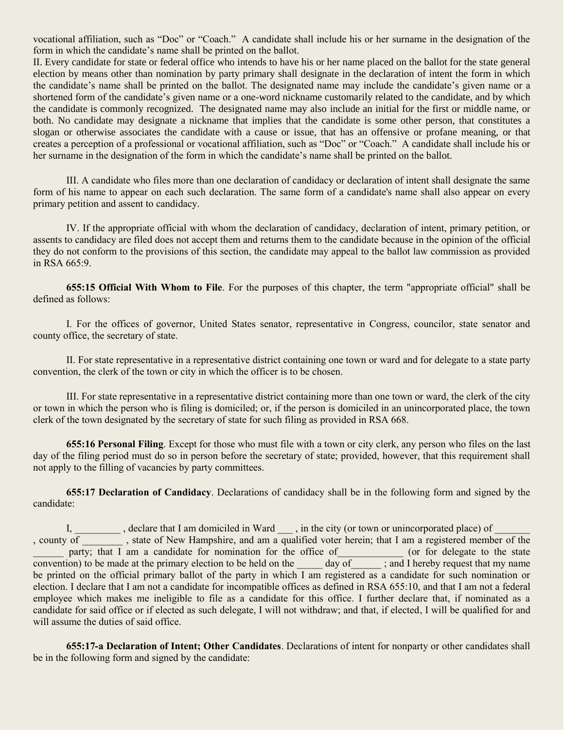vocational affiliation, such as "Doc" or "Coach." A candidate shall include his or her surname in the designation of the form in which the candidate's name shall be printed on the ballot.

II. Every candidate for state or federal office who intends to have his or her name placed on the ballot for the state general election by means other than nomination by party primary shall designate in the declaration of intent the form in which the candidate's name shall be printed on the ballot. The designated name may include the candidate's given name or a shortened form of the candidate's given name or a one-word nickname customarily related to the candidate, and by which the candidate is commonly recognized. The designated name may also include an initial for the first or middle name, or both. No candidate may designate a nickname that implies that the candidate is some other person, that constitutes a slogan or otherwise associates the candidate with a cause or issue, that has an offensive or profane meaning, or that creates a perception of a professional or vocational affiliation, such as "Doc" or "Coach." A candidate shall include his or her surname in the designation of the form in which the candidate's name shall be printed on the ballot.

III. A candidate who files more than one declaration of candidacy or declaration of intent shall designate the same form of his name to appear on each such declaration. The same form of a candidate's name shall also appear on every primary petition and assent to candidacy.

IV. If the appropriate official with whom the declaration of candidacy, declaration of intent, primary petition, or assents to candidacy are filed does not accept them and returns them to the candidate because in the opinion of the official they do not conform to the provisions of this section, the candidate may appeal to the ballot law commission as provided in RSA 665:9.

**655:15 Official With Whom to File**. For the purposes of this chapter, the term "appropriate official" shall be defined as follows:

I. For the offices of governor, United States senator, representative in Congress, councilor, state senator and county office, the secretary of state.

II. For state representative in a representative district containing one town or ward and for delegate to a state party convention, the clerk of the town or city in which the officer is to be chosen.

III. For state representative in a representative district containing more than one town or ward, the clerk of the city or town in which the person who is filing is domiciled; or, if the person is domiciled in an unincorporated place, the town clerk of the town designated by the secretary of state for such filing as provided in RSA 668.

**655:16 Personal Filing**. Except for those who must file with a town or city clerk, any person who files on the last day of the filing period must do so in person before the secretary of state; provided, however, that this requirement shall not apply to the filling of vacancies by party committees.

**655:17 Declaration of Candidacy**. Declarations of candidacy shall be in the following form and signed by the candidate:

I, declare that I am domiciled in Ward \_\_\_, in the city (or town or unincorporated place) of , county of \_\_\_\_\_\_\_\_ , state of New Hampshire, and am a qualified voter herein; that I am a registered member of the party; that I am a candidate for nomination for the office of\_\_\_\_\_\_\_\_\_\_\_\_\_ (or for delegate to the state convention) to be made at the primary election to be held on the day of ; and I hereby request that my name be printed on the official primary ballot of the party in which I am registered as a candidate for such nomination or election. I declare that I am not a candidate for incompatible offices as defined in RSA 655:10, and that I am not a federal employee which makes me ineligible to file as a candidate for this office. I further declare that, if nominated as a candidate for said office or if elected as such delegate, I will not withdraw; and that, if elected, I will be qualified for and will assume the duties of said office.

**655:17-a Declaration of Intent; Other Candidates**. Declarations of intent for nonparty or other candidates shall be in the following form and signed by the candidate: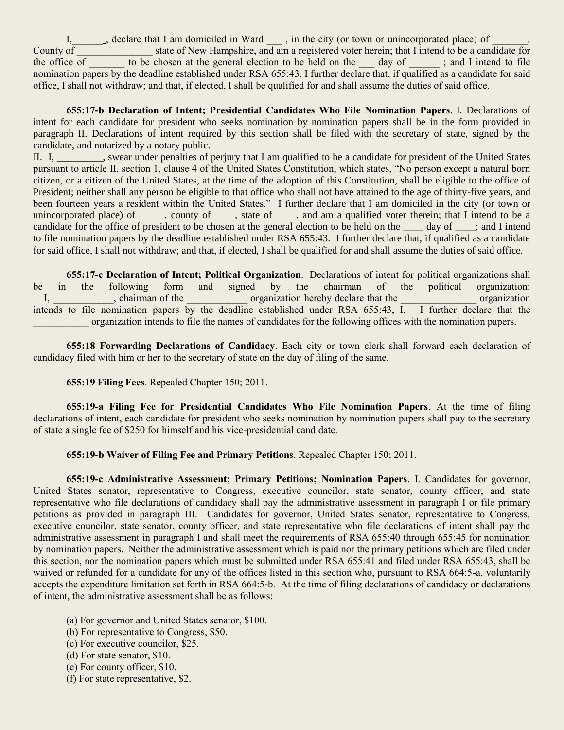I, declare that I am domiciled in Ward  $\qquad$ , in the city (or town or unincorporated place) of County of state of New Hampshire, and am a registered voter herein; that I intend to be a candidate for the office  $\overline{of}$  to be chosen at the general election to be held on the  $\overline{a}$  day of  $\overline{a}$ ; and I intend to file nomination papers by the deadline established under RSA 655:43. I further declare that, if qualified as a candidate for said office, I shall not withdraw; and that, if elected, I shall be qualified for and shall assume the duties of said office.

**655:17-b Declaration of Intent; Presidential Candidates Who File Nomination Papers**. I. Declarations of intent for each candidate for president who seeks nomination by nomination papers shall be in the form provided in paragraph II. Declarations of intent required by this section shall be filed with the secretary of state, signed by the candidate, and notarized by a notary public.

II. I, \_\_\_\_\_\_\_\_\_, swear under penalties of perjury that I am qualified to be a candidate for president of the United States pursuant to article II, section 1, clause 4 of the United States Constitution, which states, "No person except a natural born citizen, or a citizen of the United States, at the time of the adoption of this Constitution, shall be eligible to the office of President; neither shall any person be eligible to that office who shall not have attained to the age of thirty-five years, and been fourteen years a resident within the United States." I further declare that I am domiciled in the city (or town or unincorporated place) of \_\_\_\_\_, county of \_\_\_\_, state of \_\_\_\_, and am a qualified voter therein; that I intend to be a candidate for the office of president to be chosen at the general election to be held on the \_\_\_\_ day of \_\_\_\_; and I intend to file nomination papers by the deadline established under RSA 655:43. I further declare that, if qualified as a candidate for said office, I shall not withdraw; and that, if elected, I shall be qualified for and shall assume the duties of said office.

**655:17-c Declaration of Intent; Political Organization**. Declarations of intent for political organizations shall be in the following form and signed by the chairman of the political organization: I, \_\_\_\_\_\_\_\_\_\_, chairman of the \_\_\_\_\_\_\_\_\_\_\_\_ organization hereby declare that the \_\_\_\_\_\_\_\_\_\_\_\_\_\_\_\_ organization intends to file nomination papers by the deadline established under RSA 655:43, I. I further declare that the \_\_\_\_\_\_\_\_\_\_\_ organization intends to file the names of candidates for the following offices with the nomination papers.

**655:18 Forwarding Declarations of Candidacy**. Each city or town clerk shall forward each declaration of candidacy filed with him or her to the secretary of state on the day of filing of the same.

**655:19 Filing Fees**. Repealed Chapter 150; 2011.

**655:19-a Filing Fee for Presidential Candidates Who File Nomination Papers**. At the time of filing declarations of intent, each candidate for president who seeks nomination by nomination papers shall pay to the secretary of state a single fee of \$250 for himself and his vice-presidential candidate.

**655:19-b Waiver of Filing Fee and Primary Petitions**. Repealed Chapter 150; 2011.

**655:19-c Administrative Assessment; Primary Petitions; Nomination Papers**. I. Candidates for governor, United States senator, representative to Congress, executive councilor, state senator, county officer, and state representative who file declarations of candidacy shall pay the administrative assessment in paragraph I or file primary petitions as provided in paragraph III. Candidates for governor, United States senator, representative to Congress, executive councilor, state senator, county officer, and state representative who file declarations of intent shall pay the administrative assessment in paragraph I and shall meet the requirements of RSA 655:40 through 655:45 for nomination by nomination papers. Neither the administrative assessment which is paid nor the primary petitions which are filed under this section, nor the nomination papers which must be submitted under RSA 655:41 and filed under RSA 655:43, shall be waived or refunded for a candidate for any of the offices listed in this section who, pursuant to RSA 664:5-a, voluntarily accepts the expenditure limitation set forth in RSA 664:5-b. At the time of filing declarations of candidacy or declarations of intent, the administrative assessment shall be as follows:

- (a) For governor and United States senator, \$100.
- (b) For representative to Congress, \$50.
- (c) For executive councilor, \$25.
- (d) For state senator, \$10.
- (e) For county officer, \$10.
- (f) For state representative, \$2.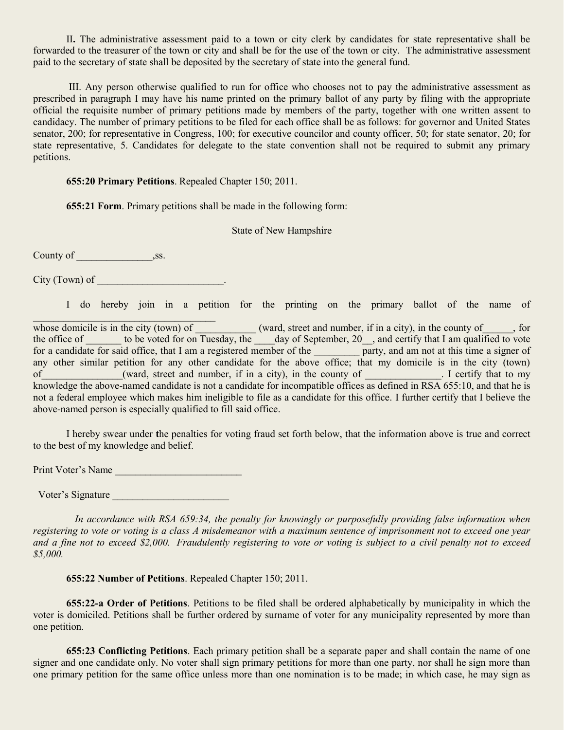II**.** The administrative assessment paid to a town or city clerk by candidates for state representative shall be forwarded to the treasurer of the town or city and shall be for the use of the town or city. The administrative assessment paid to the secretary of state shall be deposited by the secretary of state into the general fund.

III. Any person otherwise qualified to run for office who chooses not to pay the administrative assessment as prescribed in paragraph I may have his name printed on the primary ballot of any party by filing with the appropriate official the requisite number of primary petitions made by members of the party, together with one written assent to candidacy. The number of primary petitions to be filed for each office shall be as follows: for governor and United States senator, 200; for representative in Congress, 100; for executive councilor and county officer, 50; for state senator, 20; for state representative, 5. Candidates for delegate to the state convention shall not be required to submit any primary petitions.

**655:20 Primary Petitions**. Repealed Chapter 150; 2011.

**655:21 Form**. Primary petitions shall be made in the following form:

State of New Hampshire

County of \_\_\_\_\_\_\_\_\_\_\_\_\_\_\_,ss.

City (Town) of the contract of the contract of the contract of the contract of the contract of the contract of the contract of the contract of the contract of the contract of the contract of the contract of the contract of

I do hereby join in a petition for the printing on the primary ballot of the name of

 $\mathcal{L}_\text{max}$ whose domicile is in the city (town) of  $\Box$  (ward, street and number, if in a city), in the county of  $\Box$ , for the office of to be voted for on Tuesday, the day of September,  $20$ , and certify that I am qualified to vote for a candidate for said office, that I am a registered member of the party, and am not at this time a signer of any other similar petition for any other candidate for the above office; that my domicile is in the city (town) of (ward, street and number, if in a city), in the county of Terming and Equation 1 certify that to my knowledge the above-named candidate is not a candidate for incompatible offices as defined in RSA 655:10, and that he is not a federal employee which makes him ineligible to file as a candidate for this office. I further certify that I believe the above-named person is especially qualified to fill said office.

I hereby swear under **t**he penalties for voting fraud set forth below, that the information above is true and correct to the best of my knowledge and belief.

Print Voter's Name

Voter's Signature **With the Signature** and the set of the set of the set of the set of the set of the set of the set of the set of the set of the set of the set of the set of the set of the set of the set of the set of the

 *In accordance with RSA 659:34, the penalty for knowingly or purposefully providing false information when registering to vote or voting is a class A misdemeanor with a maximum sentence of imprisonment not to exceed one year and a fine not to exceed \$2,000. Fraudulently registering to vote or voting is subject to a civil penalty not to exceed \$5,000.*

**655:22 Number of Petitions**. Repealed Chapter 150; 2011.

**655:22-a Order of Petitions**. Petitions to be filed shall be ordered alphabetically by municipality in which the voter is domiciled. Petitions shall be further ordered by surname of voter for any municipality represented by more than one petition.

**655:23 Conflicting Petitions**. Each primary petition shall be a separate paper and shall contain the name of one signer and one candidate only. No voter shall sign primary petitions for more than one party, nor shall he sign more than one primary petition for the same office unless more than one nomination is to be made; in which case, he may sign as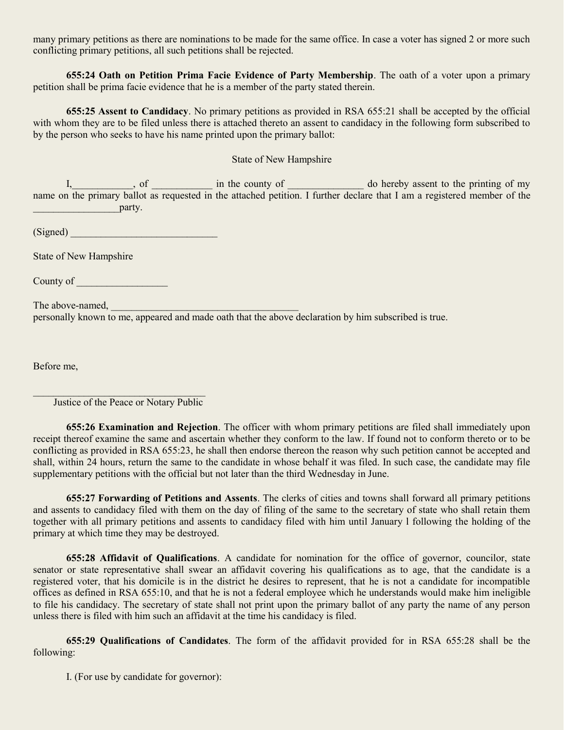many primary petitions as there are nominations to be made for the same office. In case a voter has signed 2 or more such conflicting primary petitions, all such petitions shall be rejected.

**655:24 Oath on Petition Prima Facie Evidence of Party Membership**. The oath of a voter upon a primary petition shall be prima facie evidence that he is a member of the party stated therein.

**655:25 Assent to Candidacy**. No primary petitions as provided in RSA 655:21 shall be accepted by the official with whom they are to be filed unless there is attached thereto an assent to candidacy in the following form subscribed to by the person who seeks to have his name printed upon the primary ballot:

## State of New Hampshire

I, so in the county of the county of the set of the printing of my name on the primary ballot as requested in the attached petition. I further declare that I am a registered member of the example the party.

 $(Signed)$ 

State of New Hampshire

County of

The above-named,

personally known to me, appeared and made oath that the above declaration by him subscribed is true.

Before me,

 $\mathcal{L}_\text{max}$ Justice of the Peace or Notary Public

**655:26 Examination and Rejection**. The officer with whom primary petitions are filed shall immediately upon receipt thereof examine the same and ascertain whether they conform to the law. If found not to conform thereto or to be conflicting as provided in RSA 655:23, he shall then endorse thereon the reason why such petition cannot be accepted and shall, within 24 hours, return the same to the candidate in whose behalf it was filed. In such case, the candidate may file supplementary petitions with the official but not later than the third Wednesday in June.

**655:27 Forwarding of Petitions and Assents**. The clerks of cities and towns shall forward all primary petitions and assents to candidacy filed with them on the day of filing of the same to the secretary of state who shall retain them together with all primary petitions and assents to candidacy filed with him until January l following the holding of the primary at which time they may be destroyed.

**655:28 Affidavit of Qualifications**. A candidate for nomination for the office of governor, councilor, state senator or state representative shall swear an affidavit covering his qualifications as to age, that the candidate is a registered voter, that his domicile is in the district he desires to represent, that he is not a candidate for incompatible offices as defined in RSA 655:10, and that he is not a federal employee which he understands would make him ineligible to file his candidacy. The secretary of state shall not print upon the primary ballot of any party the name of any person unless there is filed with him such an affidavit at the time his candidacy is filed.

**655:29 Qualifications of Candidates**. The form of the affidavit provided for in RSA 655:28 shall be the following:

I. (For use by candidate for governor):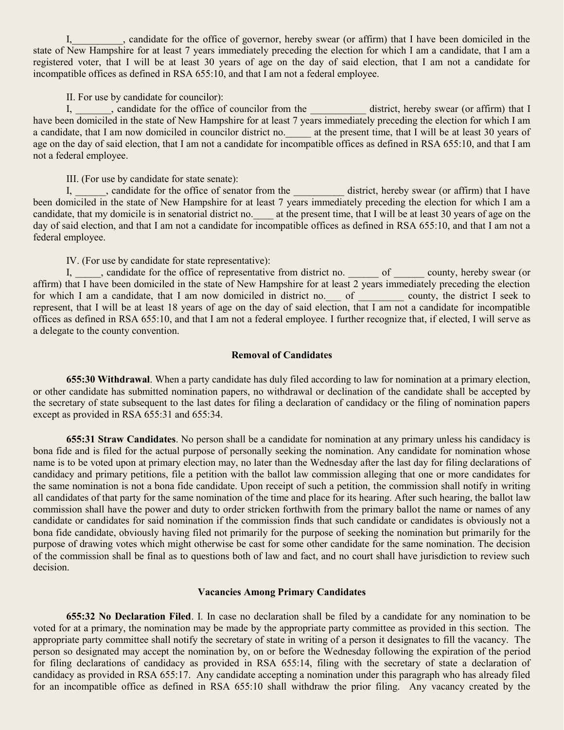I, candidate for the office of governor, hereby swear (or affirm) that I have been domiciled in the state of New Hampshire for at least 7 years immediately preceding the election for which I am a candidate, that I am a registered voter, that I will be at least 30 years of age on the day of said election, that I am not a candidate for incompatible offices as defined in RSA 655:10, and that I am not a federal employee.

II. For use by candidate for councilor):

I, candidate for the office of councilor from the district, hereby swear (or affirm) that I have been domiciled in the state of New Hampshire for at least 7 years immediately preceding the election for which I am a candidate, that I am now domiciled in councilor district no. \_\_\_\_\_ at the present time, that I will be at least 30 years of age on the day of said election, that I am not a candidate for incompatible offices as defined in RSA 655:10, and that I am not a federal employee.

III. (For use by candidate for state senate):

I, candidate for the office of senator from the district, hereby swear (or affirm) that I have been domiciled in the state of New Hampshire for at least 7 years immediately preceding the election for which I am a candidate, that my domicile is in senatorial district no.  $\qquad$  at the present time, that I will be at least 30 years of age on the day of said election, and that I am not a candidate for incompatible offices as defined in RSA 655:10, and that I am not a federal employee.

IV. (For use by candidate for state representative):

I, \_\_\_\_, candidate for the office of representative from district no. \_\_\_\_\_\_ of \_\_\_\_\_\_ county, hereby swear (or affirm) that I have been domiciled in the state of New Hampshire for at least 2 years immediately preceding the election for which I am a candidate, that I am now domiciled in district no. of county, the district I seek to represent, that I will be at least 18 years of age on the day of said election, that I am not a candidate for incompatible offices as defined in RSA 655:10, and that I am not a federal employee. I further recognize that, if elected, I will serve as a delegate to the county convention.

## **Removal of Candidates**

**655:30 Withdrawal**. When a party candidate has duly filed according to law for nomination at a primary election, or other candidate has submitted nomination papers, no withdrawal or declination of the candidate shall be accepted by the secretary of state subsequent to the last dates for filing a declaration of candidacy or the filing of nomination papers except as provided in RSA 655:31 and 655:34.

**655:31 Straw Candidates**. No person shall be a candidate for nomination at any primary unless his candidacy is bona fide and is filed for the actual purpose of personally seeking the nomination. Any candidate for nomination whose name is to be voted upon at primary election may, no later than the Wednesday after the last day for filing declarations of candidacy and primary petitions, file a petition with the ballot law commission alleging that one or more candidates for the same nomination is not a bona fide candidate. Upon receipt of such a petition, the commission shall notify in writing all candidates of that party for the same nomination of the time and place for its hearing. After such hearing, the ballot law commission shall have the power and duty to order stricken forthwith from the primary ballot the name or names of any candidate or candidates for said nomination if the commission finds that such candidate or candidates is obviously not a bona fide candidate, obviously having filed not primarily for the purpose of seeking the nomination but primarily for the purpose of drawing votes which might otherwise be cast for some other candidate for the same nomination. The decision of the commission shall be final as to questions both of law and fact, and no court shall have jurisdiction to review such decision.

### **Vacancies Among Primary Candidates**

**655:32 No Declaration Filed**. I. In case no declaration shall be filed by a candidate for any nomination to be voted for at a primary, the nomination may be made by the appropriate party committee as provided in this section. The appropriate party committee shall notify the secretary of state in writing of a person it designates to fill the vacancy. The person so designated may accept the nomination by, on or before the Wednesday following the expiration of the period for filing declarations of candidacy as provided in RSA 655:14, filing with the secretary of state a declaration of candidacy as provided in RSA 655:17. Any candidate accepting a nomination under this paragraph who has already filed for an incompatible office as defined in RSA 655:10 shall withdraw the prior filing. Any vacancy created by the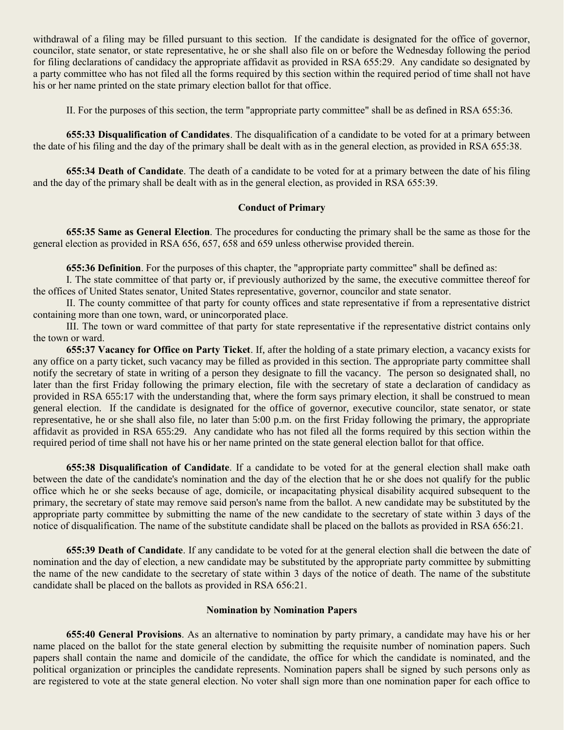withdrawal of a filing may be filled pursuant to this section. If the candidate is designated for the office of governor, councilor, state senator, or state representative, he or she shall also file on or before the Wednesday following the period for filing declarations of candidacy the appropriate affidavit as provided in RSA 655:29. Any candidate so designated by a party committee who has not filed all the forms required by this section within the required period of time shall not have his or her name printed on the state primary election ballot for that office.

II. For the purposes of this section, the term "appropriate party committee" shall be as defined in RSA 655:36.

**655:33 Disqualification of Candidates**. The disqualification of a candidate to be voted for at a primary between the date of his filing and the day of the primary shall be dealt with as in the general election, as provided in RSA 655:38.

**655:34 Death of Candidate**. The death of a candidate to be voted for at a primary between the date of his filing and the day of the primary shall be dealt with as in the general election, as provided in RSA 655:39.

# **Conduct of Primary**

**655:35 Same as General Election**. The procedures for conducting the primary shall be the same as those for the general election as provided in RSA 656, 657, 658 and 659 unless otherwise provided therein.

**655:36 Definition**. For the purposes of this chapter, the "appropriate party committee" shall be defined as:

I. The state committee of that party or, if previously authorized by the same, the executive committee thereof for the offices of United States senator, United States representative, governor, councilor and state senator.

II. The county committee of that party for county offices and state representative if from a representative district containing more than one town, ward, or unincorporated place.

III. The town or ward committee of that party for state representative if the representative district contains only the town or ward.

**655:37 Vacancy for Office on Party Ticket**. If, after the holding of a state primary election, a vacancy exists for any office on a party ticket, such vacancy may be filled as provided in this section. The appropriate party committee shall notify the secretary of state in writing of a person they designate to fill the vacancy. The person so designated shall, no later than the first Friday following the primary election, file with the secretary of state a declaration of candidacy as provided in RSA 655:17 with the understanding that, where the form says primary election, it shall be construed to mean general election. If the candidate is designated for the office of governor, executive councilor, state senator, or state representative, he or she shall also file, no later than 5:00 p.m. on the first Friday following the primary, the appropriate affidavit as provided in RSA 655:29. Any candidate who has not filed all the forms required by this section within the required period of time shall not have his or her name printed on the state general election ballot for that office.

**655:38 Disqualification of Candidate**. If a candidate to be voted for at the general election shall make oath between the date of the candidate's nomination and the day of the election that he or she does not qualify for the public office which he or she seeks because of age, domicile, or incapacitating physical disability acquired subsequent to the primary, the secretary of state may remove said person's name from the ballot. A new candidate may be substituted by the appropriate party committee by submitting the name of the new candidate to the secretary of state within 3 days of the notice of disqualification. The name of the substitute candidate shall be placed on the ballots as provided in RSA 656:21.

**655:39 Death of Candidate**. If any candidate to be voted for at the general election shall die between the date of nomination and the day of election, a new candidate may be substituted by the appropriate party committee by submitting the name of the new candidate to the secretary of state within 3 days of the notice of death. The name of the substitute candidate shall be placed on the ballots as provided in RSA 656:21.

## **Nomination by Nomination Papers**

**655:40 General Provisions**. As an alternative to nomination by party primary, a candidate may have his or her name placed on the ballot for the state general election by submitting the requisite number of nomination papers. Such papers shall contain the name and domicile of the candidate, the office for which the candidate is nominated, and the political organization or principles the candidate represents. Nomination papers shall be signed by such persons only as are registered to vote at the state general election. No voter shall sign more than one nomination paper for each office to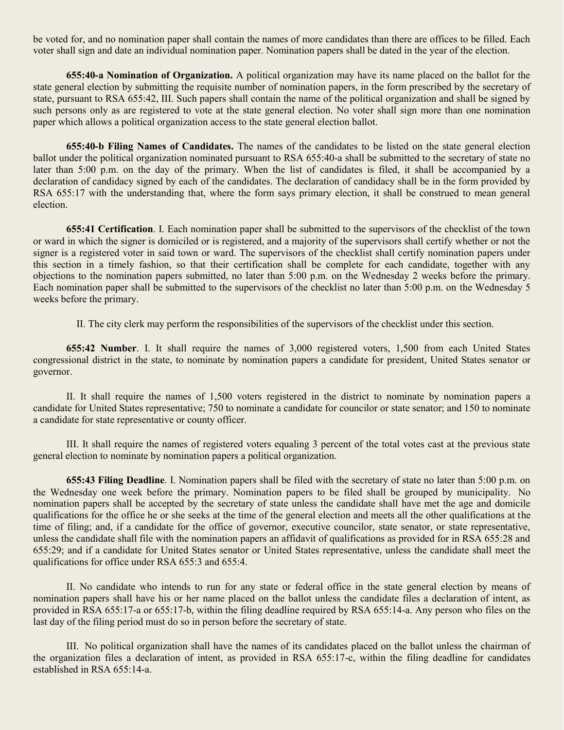be voted for, and no nomination paper shall contain the names of more candidates than there are offices to be filled. Each voter shall sign and date an individual nomination paper. Nomination papers shall be dated in the year of the election.

**655:40-a Nomination of Organization.** A political organization may have its name placed on the ballot for the state general election by submitting the requisite number of nomination papers, in the form prescribed by the secretary of state, pursuant to RSA 655:42, III. Such papers shall contain the name of the political organization and shall be signed by such persons only as are registered to vote at the state general election. No voter shall sign more than one nomination paper which allows a political organization access to the state general election ballot.

**655:40-b Filing Names of Candidates.** The names of the candidates to be listed on the state general election ballot under the political organization nominated pursuant to RSA 655:40-a shall be submitted to the secretary of state no later than 5:00 p.m. on the day of the primary. When the list of candidates is filed, it shall be accompanied by a declaration of candidacy signed by each of the candidates. The declaration of candidacy shall be in the form provided by RSA 655:17 with the understanding that, where the form says primary election, it shall be construed to mean general election.

**655:41 Certification**. I. Each nomination paper shall be submitted to the supervisors of the checklist of the town or ward in which the signer is domiciled or is registered, and a majority of the supervisors shall certify whether or not the signer is a registered voter in said town or ward. The supervisors of the checklist shall certify nomination papers under this section in a timely fashion, so that their certification shall be complete for each candidate, together with any objections to the nomination papers submitted, no later than 5:00 p.m. on the Wednesday 2 weeks before the primary. Each nomination paper shall be submitted to the supervisors of the checklist no later than 5:00 p.m. on the Wednesday 5 weeks before the primary.

II. The city clerk may perform the responsibilities of the supervisors of the checklist under this section.

**655:42 Number**. I. It shall require the names of 3,000 registered voters, 1,500 from each United States congressional district in the state, to nominate by nomination papers a candidate for president, United States senator or governor.

II. It shall require the names of 1,500 voters registered in the district to nominate by nomination papers a candidate for United States representative; 750 to nominate a candidate for councilor or state senator; and 150 to nominate a candidate for state representative or county officer.

III. It shall require the names of registered voters equaling 3 percent of the total votes cast at the previous state general election to nominate by nomination papers a political organization.

**655:43 Filing Deadline**. I. Nomination papers shall be filed with the secretary of state no later than 5:00 p.m. on the Wednesday one week before the primary. Nomination papers to be filed shall be grouped by municipality. No nomination papers shall be accepted by the secretary of state unless the candidate shall have met the age and domicile qualifications for the office he or she seeks at the time of the general election and meets all the other qualifications at the time of filing; and, if a candidate for the office of governor, executive councilor, state senator, or state representative, unless the candidate shall file with the nomination papers an affidavit of qualifications as provided for in RSA 655:28 and 655:29; and if a candidate for United States senator or United States representative, unless the candidate shall meet the qualifications for office under RSA 655:3 and 655:4.

II. No candidate who intends to run for any state or federal office in the state general election by means of nomination papers shall have his or her name placed on the ballot unless the candidate files a declaration of intent, as provided in RSA 655:17-a or 655:17-b, within the filing deadline required by RSA 655:14-a. Any person who files on the last day of the filing period must do so in person before the secretary of state.

III. No political organization shall have the names of its candidates placed on the ballot unless the chairman of the organization files a declaration of intent, as provided in RSA 655:17-c, within the filing deadline for candidates established in RSA 655:14-a.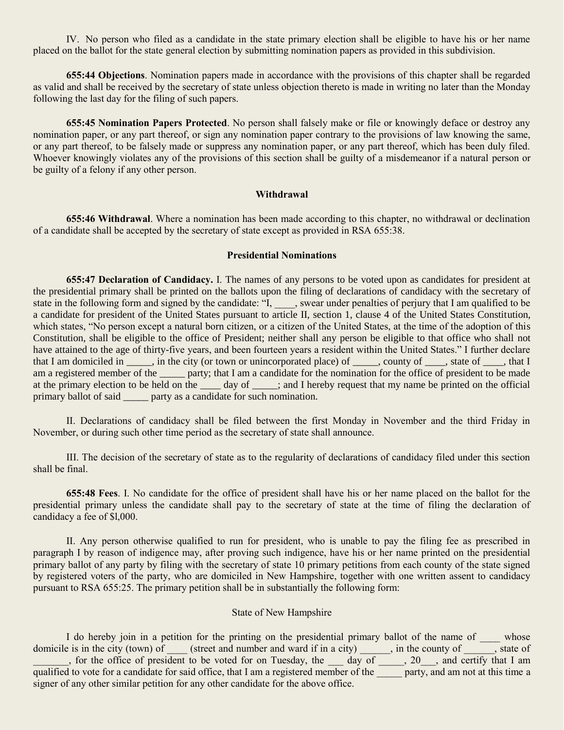IV. No person who filed as a candidate in the state primary election shall be eligible to have his or her name placed on the ballot for the state general election by submitting nomination papers as provided in this subdivision.

**655:44 Objections**. Nomination papers made in accordance with the provisions of this chapter shall be regarded as valid and shall be received by the secretary of state unless objection thereto is made in writing no later than the Monday following the last day for the filing of such papers.

**655:45 Nomination Papers Protected**. No person shall falsely make or file or knowingly deface or destroy any nomination paper, or any part thereof, or sign any nomination paper contrary to the provisions of law knowing the same, or any part thereof, to be falsely made or suppress any nomination paper, or any part thereof, which has been duly filed. Whoever knowingly violates any of the provisions of this section shall be guilty of a misdemeanor if a natural person or be guilty of a felony if any other person.

#### **Withdrawal**

**655:46 Withdrawal**. Where a nomination has been made according to this chapter, no withdrawal or declination of a candidate shall be accepted by the secretary of state except as provided in RSA 655:38.

## **Presidential Nominations**

**655:47 Declaration of Candidacy.** I. The names of any persons to be voted upon as candidates for president at the presidential primary shall be printed on the ballots upon the filing of declarations of candidacy with the secretary of state in the following form and signed by the candidate: "I, swear under penalties of perjury that I am qualified to be a candidate for president of the United States pursuant to article II, section 1, clause 4 of the United States Constitution, which states, "No person except a natural born citizen, or a citizen of the United States, at the time of the adoption of this Constitution, shall be eligible to the office of President; neither shall any person be eligible to that office who shall not have attained to the age of thirty-five years, and been fourteen years a resident within the United States." I further declare that I am domiciled in \_\_\_\_, in the city (or town or unincorporated place) of \_\_\_\_, county of \_\_\_\_, state of \_\_\_, that I am a registered member of the same party; that I am a candidate for the nomination for the office of president to be made at the primary election to be held on the \_\_\_\_ day of \_\_\_\_\_; and I hereby request that my name be printed on the official primary ballot of said party as a candidate for such nomination.

II. Declarations of candidacy shall be filed between the first Monday in November and the third Friday in November, or during such other time period as the secretary of state shall announce.

III. The decision of the secretary of state as to the regularity of declarations of candidacy filed under this section shall be final.

**655:48 Fees**. I. No candidate for the office of president shall have his or her name placed on the ballot for the presidential primary unless the candidate shall pay to the secretary of state at the time of filing the declaration of candidacy a fee of \$l,000.

II. Any person otherwise qualified to run for president, who is unable to pay the filing fee as prescribed in paragraph I by reason of indigence may, after proving such indigence, have his or her name printed on the presidential primary ballot of any party by filing with the secretary of state 10 primary petitions from each county of the state signed by registered voters of the party, who are domiciled in New Hampshire, together with one written assent to candidacy pursuant to RSA 655:25. The primary petition shall be in substantially the following form:

### State of New Hampshire

I do hereby join in a petition for the printing on the presidential primary ballot of the name of whose domicile is in the city (town) of  $\_\_\_\$  (street and number and ward if in a city)  $\_\_\_\_\_\$ , in the county of  $\_\_\_\_\$  state of \_\_\_\_\_\_\_, for the office of president to be voted for on Tuesday, the \_\_\_ day of \_\_\_\_\_, 20\_\_\_, and certify that I am qualified to vote for a candidate for said office, that I am a registered member of the party, and am not at this time a signer of any other similar petition for any other candidate for the above office.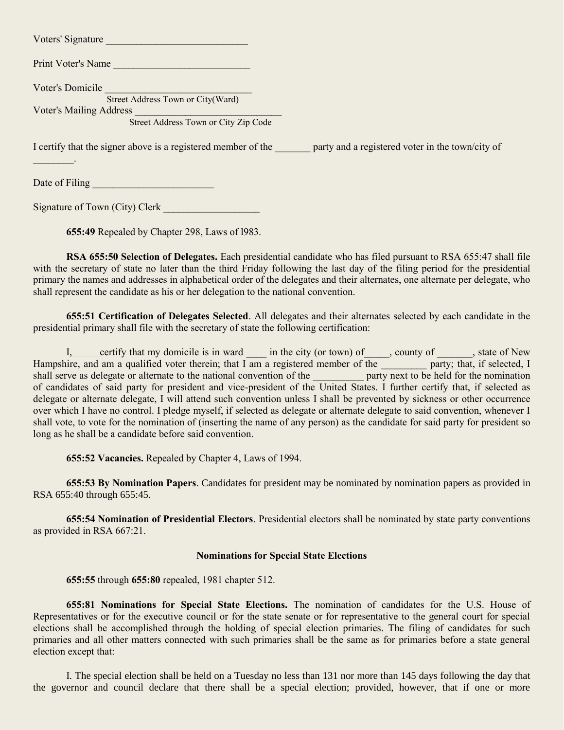| Voters' Signature                                                      |                                                                                                                |
|------------------------------------------------------------------------|----------------------------------------------------------------------------------------------------------------|
| <b>Print Voter's Name</b>                                              |                                                                                                                |
| Voter's Domicile<br>Street Address Town or City(Ward)                  |                                                                                                                |
| <b>Voter's Mailing Address</b><br>Street Address Town or City Zip Code |                                                                                                                |
|                                                                        | I certify that the signer above is a registered member of the party and a registered voter in the town/city of |
|                                                                        |                                                                                                                |
| Date of Filing                                                         |                                                                                                                |

Signature of Town (City) Clerk

**655:49** Repealed by Chapter 298, Laws of l983.

**RSA 655:50 Selection of Delegates.** Each presidential candidate who has filed pursuant to RSA 655:47 shall file with the secretary of state no later than the third Friday following the last day of the filing period for the presidential primary the names and addresses in alphabetical order of the delegates and their alternates, one alternate per delegate, who shall represent the candidate as his or her delegation to the national convention.

**655:51 Certification of Delegates Selected**. All delegates and their alternates selected by each candidate in the presidential primary shall file with the secretary of state the following certification:

I, certify that my domicile is in ward \_\_\_\_\_ in the city (or town) of \_\_\_\_\_, county of \_\_\_\_\_, state of New ire, and am a qualified voter therein; that I am a registered member of the party; that, if selected, I we as deleg Hampshire, and am a qualified voter therein; that I am a registered member of the shall serve as delegate or alternate to the national convention of the of candidates of said party for president and vice-president of the United States. I further certify that, if selected as delegate or alternate delegate, I will attend such convention unless I shall be prevented by sickness or other occurrence over which I have no control. I pledge myself, if selected as delegate or alternate delegate to said convention, whenever I shall vote, to vote for the nomination of (inserting the name of any person) as the candidate for said party for president so long as he shall be a candidate before said convention.

**655:52 Vacancies.** Repealed by Chapter 4, Laws of 1994.

**655:53 By Nomination Papers**. Candidates for president may be nominated by nomination papers as provided in RSA 655:40 through 655:45.

**655:54 Nomination of Presidential Electors**. Presidential electors shall be nominated by state party conventions as provided in RSA 667:21.

## **Nominations for Special State Elections**

**655:55** through **655:80** repealed, 1981 chapter 512.

**655:81 Nominations for Special State Elections.** The nomination of candidates for the U.S. House of Representatives or for the executive council or for the state senate or for representative to the general court for special elections shall be accomplished through the holding of special election primaries. The filing of candidates for such primaries and all other matters connected with such primaries shall be the same as for primaries before a state general election except that:

I. The special election shall be held on a Tuesday no less than 131 nor more than 145 days following the day that the governor and council declare that there shall be a special election; provided, however, that if one or more